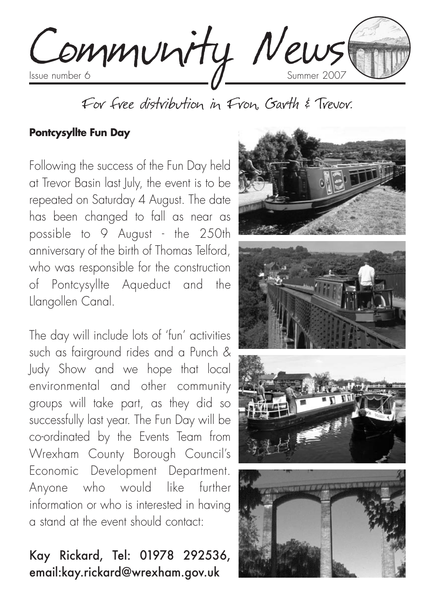

For free distribution in Fron, Garth & Trevor.

#### **Pontcysyllte Fun Day**

Following the success of the Fun Day held at Trevor Basin last July, the event is to be repeated on Saturday 4 August. The date has been changed to fall as near as possible to 9 August - the 250th anniversary of the birth of Thomas Telford, who was responsible for the construction of Pontcysyllte Aqueduct and the Llangollen Canal.

The day will include lots of 'fun' activities such as fairground rides and a Punch & Judy Show and we hope that local environmental and other community groups will take part, as they did so successfully last year. The Fun Day will be co-ordinated by the Events Team from Wrexham County Borough Council's Economic Development Department. Anyone who would like further information or who is interested in having a stand at the event should contact:

# Kay Rickard, Tel: 01978 292536, email:kay.rickard@wrexham.gov.uk

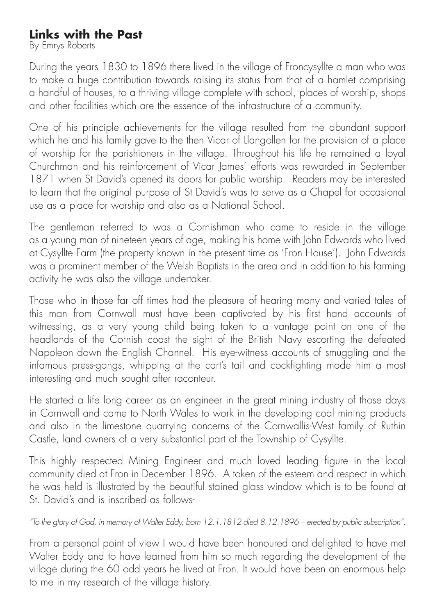## **Links with the Past**

By Emrys Roberts

During the years 1830 to 1896 there lived in the village of Froncysyllte a man who was to make a huge contribution towards raising its status from that of a hamlet comprising a handful of houses, to a thriving village complete with school, places of worship, shops and other facilities which are the essence of the infrastructure of a community.

One of his principle achievements for the village resulted from the abundant support which he and his family gave to the then Vicar of Llangollen for the provision of a place of worship for the parishioners in the village. Throughout his life he remained a loyal Churchman and his reinforcement of Vicar James' efforts was rewarded in September 1871 when St David's opened its doors for public worship. Readers may be interested to learn that the original purpose of St David's was to serve as a Chapel for occasional use as a place for worship and also as a National School.

The gentleman referred to was a Cornishman who came to reside in the village as a young man of nineteen years of age, making his home with John Edwards who lived at Cysyllte Farm (the property known in the present time as 'Fron House'). John Edwards was a prominent member of the Welsh Baptists in the area and in addition to his farming activity he was also the village undertaker.

Those who in those far off times had the pleasure of hearing many and varied tales of this man from Cornwall must have been captivated by his first hand accounts of witnessing, as a very young child being taken to a vantage point on one of the headlands of the Cornish coast the sight of the British Navy escorting the defeated Napoleon down the English Channel. His eye-witness accounts of smuggling and the infamous press-gangs, whipping at the cart's tail and cockfighting made him a most interesting and much sought after raconteur.

He started a life long career as an engineer in the great mining industry of those days in Cornwall and came to North Wales to work in the developing coal mining products and also in the limestone quarrying concerns of the Cornwallis-West family of Ruthin Castle, land owners of a very substantial part of the Township of Cysyllte.

This highly respected Mining Engineer and much loved leading figure in the local community died at Fron in December 1896. A token of the esteem and respect in which he was held is illustrated by the beautiful stained glass window which is to be found at St. David's and is inscribed as follows-

#### *"To the glory of God, in memory of Walter Eddy, born 12.1.1812 died 8.12.1896 – erected by public subscription".*

From a personal point of view I would have been honoured and delighted to have met Walter Eddy and to have learned from him so much regarding the development of the village during the 60 odd years he lived at Fron. It would have been an enormous help to me in my research of the village history.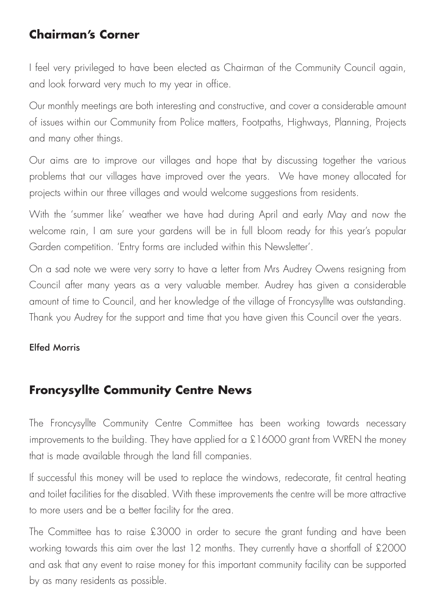## **Chairman's Corner**

I feel very privileged to have been elected as Chairman of the Community Council again, and look forward very much to my year in office.

Our monthly meetings are both interesting and constructive, and cover a considerable amount of issues within our Community from Police matters, Footpaths, Highways, Planning, Projects and many other things.

Our aims are to improve our villages and hope that by discussing together the various problems that our villages have improved over the years. We have money allocated for projects within our three villages and would welcome suggestions from residents.

With the 'summer like' weather we have had during April and early May and now the welcome rain, I am sure your gardens will be in full bloom ready for this year's popular Garden competition. 'Entry forms are included within this Newsletter'.

On a sad note we were very sorry to have a letter from Mrs Audrey Owens resigning from Council after many years as a very valuable member. Audrey has given a considerable amount of time to Council, and her knowledge of the village of Froncysyllte was outstanding. Thank you Audrey for the support and time that you have given this Council over the years.

#### Elfed Morris

## **Froncysyllte Community Centre News**

The Froncysyllte Community Centre Committee has been working towards necessary improvements to the building. They have applied for a £16000 grant from WREN the money that is made available through the land fill companies.

If successful this money will be used to replace the windows, redecorate, fit central heating and toilet facilities for the disabled. With these improvements the centre will be more attractive to more users and be a better facility for the area.

The Committee has to raise £3000 in order to secure the grant funding and have been working towards this aim over the last 12 months. They currently have a shortfall of £2000 and ask that any event to raise money for this important community facility can be supported by as many residents as possible.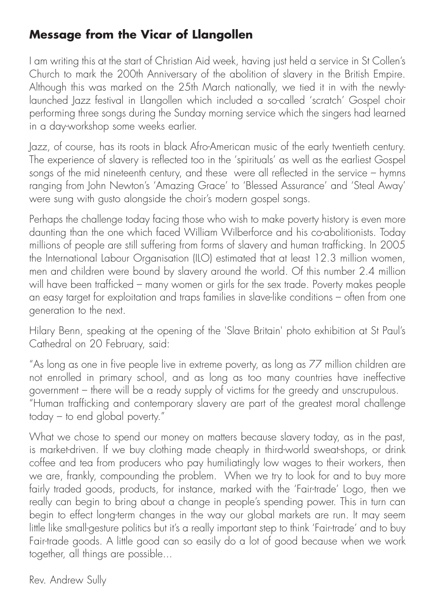# **Message from the Vicar of Llangollen**

I am writing this at the start of Christian Aid week, having just held a service in St Collen's Church to mark the 200th Anniversary of the abolition of slavery in the British Empire. Although this was marked on the 25th March nationally, we tied it in with the newlylaunched Jazz festival in Llangollen which included a so-called 'scratch' Gospel choir performing three songs during the Sunday morning service which the singers had learned in a day-workshop some weeks earlier.

Jazz, of course, has its roots in black Afro-American music of the early twentieth century. The experience of slavery is reflected too in the 'spirituals' as well as the earliest Gospel songs of the mid nineteenth century, and these were all reflected in the service – hymns ranging from John Newton's 'Amazing Grace' to 'Blessed Assurance' and 'Steal Away' were sung with gusto alongside the choir's modern gospel songs.

Perhaps the challenge today facing those who wish to make poverty history is even more daunting than the one which faced William Wilberforce and his co-abolitionists. Today millions of people are still suffering from forms of slavery and human trafficking. In 2005 the International Labour Organisation (ILO) estimated that at least 12.3 million women, men and children were bound by slavery around the world. Of this number 2.4 million will have been trafficked – many women or girls for the sex trade. Poverty makes people an easy target for exploitation and traps families in slave-like conditions – often from one generation to the next.

Hilary Benn, speaking at the opening of the 'Slave Britain' photo exhibition at St Paul's Cathedral on 20 February, said:

"As long as one in five people live in extreme poverty, as long as 77 million children are not enrolled in primary school, and as long as too many countries have ineffective government – there will be a ready supply of victims for the greedy and unscrupulous. "Human trafficking and contemporary slavery are part of the greatest moral challenge today – to end global poverty."

What we chose to spend our money on matters because slavery today, as in the past, is market-driven. If we buy clothing made cheaply in third-world sweat-shops, or drink coffee and tea from producers who pay humiliatingly low wages to their workers, then we are, frankly, compounding the problem. When we try to look for and to buy more fairly traded goods, products, for instance, marked with the 'Fair-trade' Logo, then we really can begin to bring about a change in people's spending power. This in turn can begin to effect long-term changes in the way our global markets are run. It may seem little like small-gesture politics but it's a really important step to think 'Fair-trade' and to buy Fair-trade goods. A little good can so easily do a lot of good because when we work together, all things are possible...

Rev. Andrew Sully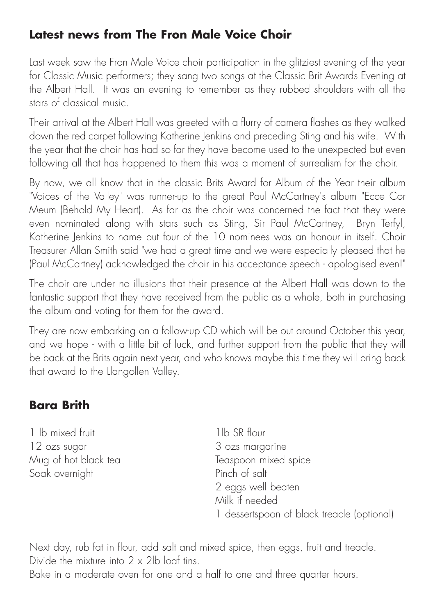## **Latest news from The Fron Male Voice Choir**

Last week saw the Fron Male Voice choir participation in the glitziest evening of the year for Classic Music performers; they sang two songs at the Classic Brit Awards Evening at the Albert Hall. It was an evening to remember as they rubbed shoulders with all the stars of classical music.

Their arrival at the Albert Hall was greeted with a flurry of camera flashes as they walked down the red carpet following Katherine Jenkins and preceding Sting and his wife. With the year that the choir has had so far they have become used to the unexpected but even following all that has happened to them this was a moment of surrealism for the choir.

By now, we all know that in the classic Brits Award for Album of the Year their album "Voices of the Valley" was runner-up to the great Paul McCartney's album "Ecce Cor Meum (Behold My Heart). As far as the choir was concerned the fact that they were even nominated along with stars such as Sting, Sir Paul McCartney, Bryn Terfyl, Katherine Jenkins to name but four of the 10 nominees was an honour in itself. Choir Treasurer Allan Smith said "we had a great time and we were especially pleased that he (Paul McCartney) acknowledged the choir in his acceptance speech - apologised even!"

The choir are under no illusions that their presence at the Albert Hall was down to the fantastic support that they have received from the public as a whole, both in purchasing the album and voting for them for the award.

They are now embarking on a follow-up CD which will be out around October this year, and we hope - with a little bit of luck, and further support from the public that they will be back at the Brits again next year, and who knows maybe this time they will bring back that award to the Llangollen Valley.

## **Bara Brith**

1 lb mixed fruit 1 lb SR flour 12 ozs sugar 3 ozs margarine Soak overnight Pinch of salt

Mug of hot black tea Teaspoon mixed spice 2 eggs well beaten Milk if needed 1 dessertspoon of black treacle (optional)

Next day, rub fat in flour, add salt and mixed spice, then eggs, fruit and treacle. Divide the mixture into  $2 \times 2$ lb loaf tins. Bake in a moderate oven for one and a half to one and three quarter hours.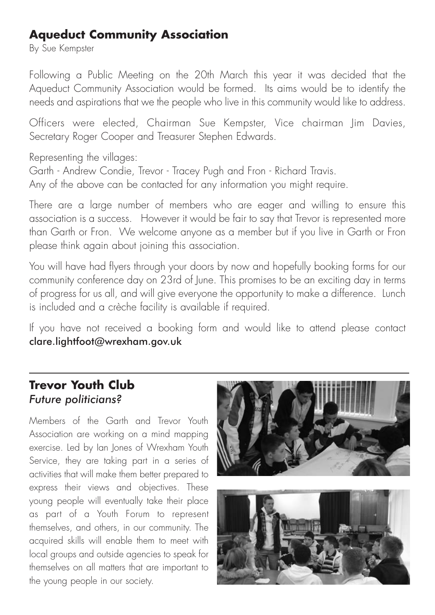## **Aqueduct Community Association**

By Sue Kempster

Following a Public Meeting on the 20th March this year it was decided that the Aqueduct Community Association would be formed. Its aims would be to identify the needs and aspirations that we the people who live in this community would like to address.

Officers were elected, Chairman Sue Kempster, Vice chairman Jim Davies, Secretary Roger Cooper and Treasurer Stephen Edwards.

Representing the villages:

Garth - Andrew Condie, Trevor - Tracey Pugh and Fron - Richard Travis.

Any of the above can be contacted for any information you might require.

There are a large number of members who are eager and willing to ensure this association is a success. However it would be fair to say that Trevor is represented more than Garth or Fron. We welcome anyone as a member but if you live in Garth or Fron please think again about joining this association.

You will have had flyers through your doors by now and hopefully booking forms for our community conference day on 23rd of June. This promises to be an exciting day in terms of progress for us all, and will give everyone the opportunity to make a difference. Lunch is included and a crèche facility is available if required.

If you have not received a booking form and would like to attend please contact clare.lightfoot@wrexham.gov.uk

## **Trevor Youth Club**  *Future politicians?*

Members of the Garth and Trevor Youth Association are working on a mind mapping exercise. Led by Ian Jones of Wrexham Youth Service, they are taking part in a series of activities that will make them better prepared to express their views and objectives. These young people will eventually take their place as part of a Youth Forum to represent themselves, and others, in our community. The acquired skills will enable them to meet with local groups and outside agencies to speak for themselves on all matters that are important to the young people in our society.



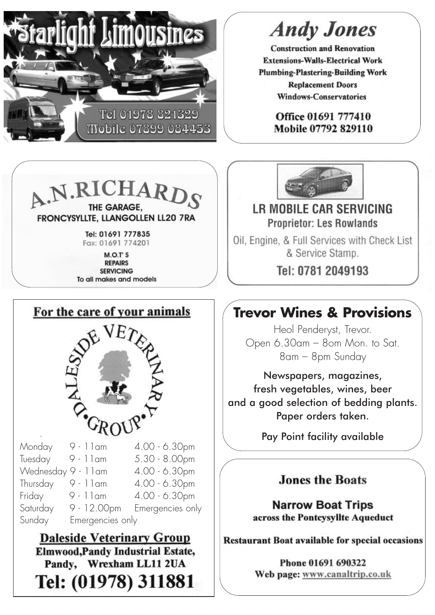

# **Andy Jones**

**Construction and Renovation Extensions-Walls-Electrical Work Plumbing-Plastering-Building Work Replacement Doors Windows-Conservatories** 

> Office 01691 777410 Mobile 07792 829110



Tel: 01691 777835 Fax: 01691 774201

M.O.T'S **REPAIRS SERVICING** To all makes and models



Tel: (01978) 311881

**LR MOBILE CAR SERVICING Proprietor: Les Rowlands** 

Oil, Engine, & Full Services with Check List & Service Stamp.

Tel: 0781 2049193

# **Trevor Wines & Provisions**

Heol Penderyst, Trevor. Open 6.30am – 8om Mon. to Sat. 8am – 8pm Sunday

Newspapers, magazines, fresh vegetables, wines, beer and a good selection of bedding plants. Paper orders taken.

Pay Point facility available

#### **Jones the Roats**

**Narrow Boat Trips** across the Pontcysvilte Aqueduct

**Restaurant Boat available for special occasions** 

Phone 01691 690322 Web page: www.canaltrip.co.uk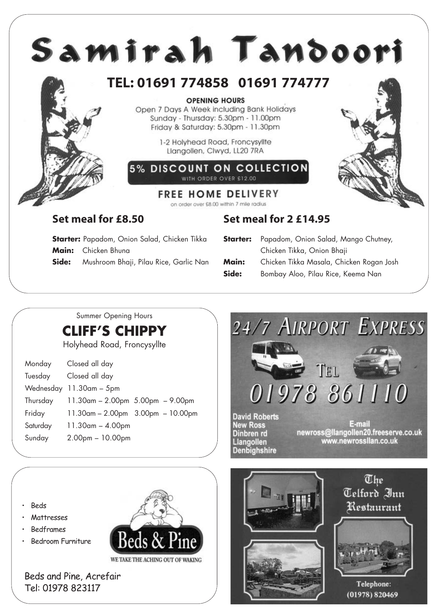

# Summer Opening Hours

**CLIFF'S CHIPPY**

Holyhead Road, Froncysyllte

| Monday   | Closed all day                          |  |
|----------|-----------------------------------------|--|
| Tuesday  | Closed all day                          |  |
|          | Wednesday 11.30am - 5pm                 |  |
| Thursday | 11.30am - 2.00pm 5.00pm - 9.00pm        |  |
| Friday   | $11.30$ am - 2.00pm $3.00$ pm - 10.00pm |  |
| Saturday | $11.30$ am $- 4.00$ pm                  |  |
| Sunday   | $2.00pm - 10.00pm$                      |  |
|          |                                         |  |



• Beds

- **Mattresses**
- Bedframes
- Bedroom Furniture



Beds and Pine, Acrefair Tel: 01978 823117



The Telford Inn Restaurant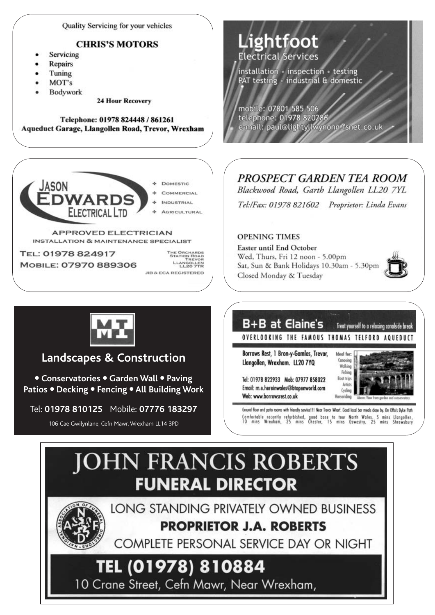**Ouality Servicing for your vehicles** 

#### **CHRIS'S MOTORS**

- Servicing
- **Repairs**
- Tuning
- MOT's
- Bodywork

**24 Hour Recovery** 

Telephone: 01978 824448 / 861261 Aqueduct Garage, Llangollen Road, Trevor, Wrexham



TREVOR<br>LLANGOLLEN<br>LL20 7TR **JIB & ECA REGISTERED** 



mobile: 07801 585 506 telephone: 01978 820286 e-mail: paul@lightyllwynonn.fsnet.co.uk

#### PROSPECT GARDEN TEA ROOM

Blackwood Road, Garth Llangollen LL20 7YL

Tel:/Fax: 01978 821602 Proprietor: Linda Evans

#### **OPENING TIMES**

Easter until End October Wed, Thurs, Fri 12 noon - 5.00pm Sat, Sun & Bank Holidays 10.30am - 5.30pm Closed Monday & Tuesday





#### **Landscapes & Construction**

● **Conservatories** ● **Garden Wall** ● **Paving Patios** ● **Decking** ● **Fencing** ● **All Building Work**

Tel: **01978 810125** Mobile: **07776 183297**

106 Cae Gwilynlane, Cefn Mawr, Wrexham LL14 3PD



Tel: 01978 822933 Mob: 07977 858022 Email: m.e.hereinwales@btopenworld.com Web: www.borrowsrest.co.uk



Ground floor and patio rooms with friendly service !!! Near Trevor Wharf. Good local bar meals dose by. On Offa's Dyke Path Comfortable recently refurbished, good base to tour North Wales. 5 mins Llangellen,<br>10 mins Wrexham, 25 mins Chester, 15 mins Oswestry, 25 mins Shrewsbury

# **JOHN FRANCIS ROBERTS FUNERAL DIRECTOR**



LONG STANDING PRIVATELY OWNED BUSINESS **PROPRIETOR J.A. ROBERTS** 

COMPLETE PERSONAL SERVICE DAY OR NIGHT

# TEL (01978) 810884

10 Crane Street, Cefn Mawr, Near Wrexham,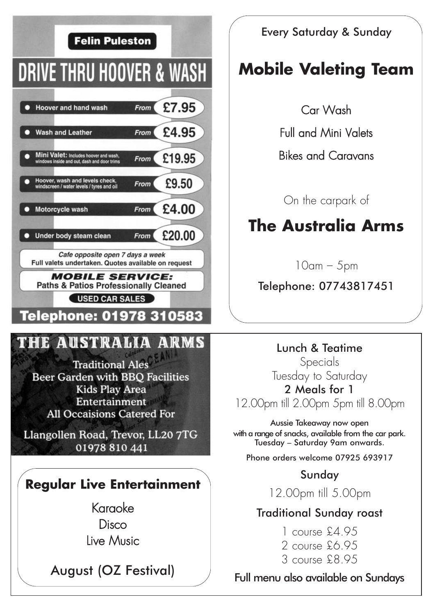

Every Saturday & Sunday

# **Mobile Valeting Team**

Car Wash

Full and Mini Valets

Bikes and Caravans

On the carpark of

# **The Australia Arms**

10am – 5pm

Telephone: 07743817451

Lunch & Teatime Specials Tuesday to Saturday 2 Meals for 1

12.00pm till 2.00pm 5pm till 8.00pm

Aussie Takeaway now open with a range of snacks, available from the car park. Tuesday – Saturday 9am onwards.

Phone orders welcome 07925 693917

## Sunday

12.00pm till 5.00pm

### Traditional Sunday roast

1 course £4.95 2 course £6.95 3 course £8.95

Full menu also available on Sundays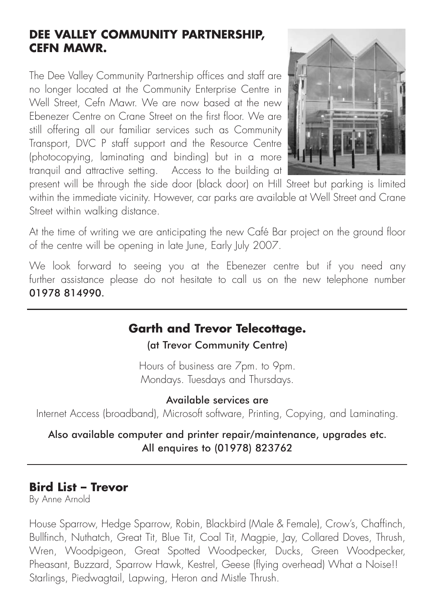### **DEE VALLEY COMMUNITY PARTNERSHIP, CEFN MAWR.**

The Dee Valley Community Partnership offices and staff are no longer located at the Community Enterprise Centre in Well Street, Cefn Mawr. We are now based at the new Ebenezer Centre on Crane Street on the first floor. We are still offering all our familiar services such as Community Transport, DVC P staff support and the Resource Centre (photocopying, laminating and binding) but in a more tranquil and attractive setting. Access to the building at



present will be through the side door (black door) on Hill Street but parking is limited within the immediate vicinity. However, car parks are available at Well Street and Crane Street within walking distance.

At the time of writing we are anticipating the new Café Bar project on the ground floor of the centre will be opening in late June, Early July 2007.

We look forward to seeing you at the Ebenezer centre but if you need any further assistance please do not hesitate to call us on the new telephone number 01978 814990.

## **Garth and Trevor Telecottage.**

(at Trevor Community Centre)

Hours of business are 7pm. to 9pm. Mondays. Tuesdays and Thursdays.

Available services are

Internet Access (broadband), Microsoft software, Printing, Copying, and Laminating.

#### Also available computer and printer repair/maintenance, upgrades etc. All enquires to (01978) 823762

#### **Bird List – Trevor**

By Anne Arnold

House Sparrow, Hedge Sparrow, Robin, Blackbird (Male & Female), Crow's, Chaffinch, Bullfinch, Nuthatch, Great Tit, Blue Tit, Coal Tit, Magpie, Jay, Collared Doves, Thrush, Wren, Woodpigeon, Great Spotted Woodpecker, Ducks, Green Woodpecker, Pheasant, Buzzard, Sparrow Hawk, Kestrel, Geese (flying overhead) What a Noise!! Starlings, Piedwagtail, Lapwing, Heron and Mistle Thrush.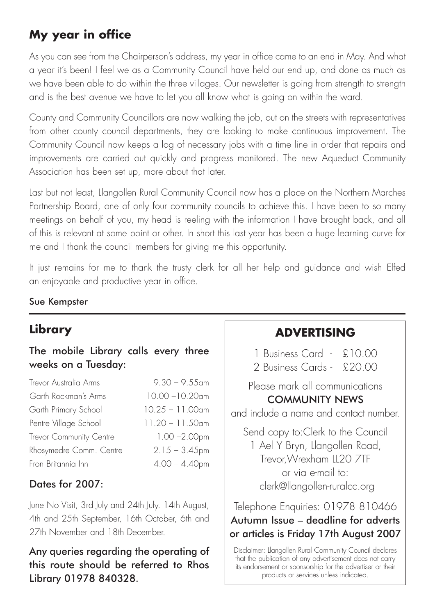# **My year in office**

As you can see from the Chairperson's address, my year in office came to an end in May. And what a year it's been! I feel we as a Community Council have held our end up, and done as much as we have been able to do within the three villages. Our newsletter is going from strength to strength and is the best avenue we have to let you all know what is going on within the ward.

County and Community Councillors are now walking the job, out on the streets with representatives from other county council departments, they are looking to make continuous improvement. The Community Council now keeps a log of necessary jobs with a time line in order that repairs and improvements are carried out quickly and progress monitored. The new Aqueduct Community Association has been set up, more about that later.

Last but not least, Llangollen Rural Community Council now has a place on the Northern Marches Partnership Board, one of only four community councils to achieve this. I have been to so many meetings on behalf of you, my head is reeling with the information I have brought back, and all of this is relevant at some point or other. In short this last year has been a huge learning curve for me and I thank the council members for giving me this opportunity.

It just remains for me to thank the trusty clerk for all her help and guidance and wish Elfed an enjoyable and productive year in office.

#### Sue Kempster

# **Library**

#### The mobile Library calls every three weeks on a Tuesday:

| Trevor Australia Arms   | $9.30 - 9.55$ am   |
|-------------------------|--------------------|
| Garth Rockman's Arms    | $10.00 - 10.20$ am |
| Garth Primary School    | $10.25 - 11.00$ am |
| Pentre Village School   | $11.20 - 11.50$ am |
| Trevor Community Centre | $1.00 - 2.00$ pm   |
| Rhosymedre Comm. Centre | $2.15 - 3.45$ pm   |
| Fron Britannia Inn      | $4.00 - 4.40$ pm   |

#### Dates for 2007:

June No Visit, 3rd July and 24th July. 14th August, 4th and 25th September, 16th October, 6th and 27th November and 18th December.

Any queries regarding the operating of this route should be referred to Rhos Library 01978 840328.

## **ADVERTISING**

1 Business Card - £10.00

2 Business Cards - £20.00

Please mark all communications COMMUNITY NEWS

and include a name and contact number.

Send copy to:Clerk to the Council 1 Ael Y Bryn, Llangollen Road, Trevor,Wrexham LL20 7TF or via e-mail to: clerk@llangollen-ruralcc.org

Telephone Enquiries: 01978 810466 Autumn Issue – deadline for adverts or articles is Friday 17th August 2007

Disclaimer: Llangollen Rural Community Council declares that the publication of any advertisement does not carry its endorsement or sponsorship for the advertiser or their products or services unless indicated.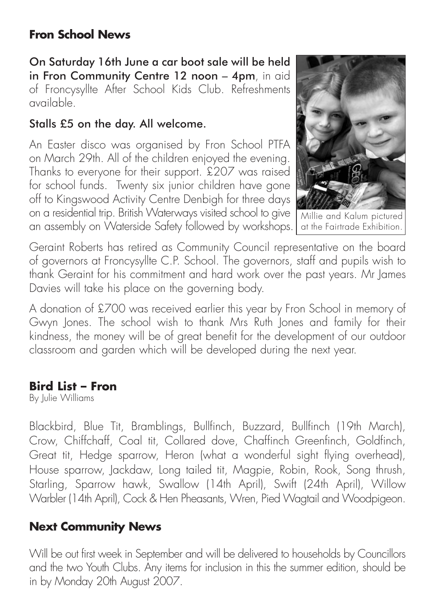## **Fron School News**

On Saturday 16th June a car boot sale will be held in Fron Community Centre 12 noon - 4pm, in aid of Froncysyllte After School Kids Club. Refreshments available.

### Stalls £5 on the day. All welcome.

An Easter disco was organised by Fron School PTFA on March 29th. All of the children enjoyed the evening. Thanks to everyone for their support. £207 was raised for school funds. Twenty six junior children have gone off to Kingswood Activity Centre Denbigh for three days on a residential trip. British Waterways visited school to give an assembly on Waterside Safety followed by workshops.



Millie and Kalum pictured at the Fairtrade Exhibition.

Geraint Roberts has retired as Community Council representative on the board of governors at Froncysyllte C.P. School. The governors, staff and pupils wish to thank Geraint for his commitment and hard work over the past years. Mr James Davies will take his place on the governing body.

A donation of £700 was received earlier this year by Fron School in memory of Gwyn Jones. The school wish to thank Mrs Ruth Jones and family for their kindness, the money will be of great benefit for the development of our outdoor classroom and garden which will be developed during the next year.

## **Bird List – Fron**

By Julie Williams

Blackbird, Blue Tit, Bramblings, Bullfinch, Buzzard, Bullfinch (19th March), Crow, Chiffchaff, Coal tit, Collared dove, Chaffinch Greenfinch, Goldfinch, Great tit, Hedge sparrow, Heron (what a wonderful sight flying overhead), House sparrow, Jackdaw, Long tailed tit, Magpie, Robin, Rook, Song thrush, Starling, Sparrow hawk, Swallow (14th April), Swift (24th April), Willow Warbler (14th April), Cock & Hen Pheasants, Wren, Pied Wagtail and Woodpigeon.

# **Next Community News**

Will be out first week in September and will be delivered to households by Councillors and the two Youth Clubs. Any items for inclusion in this the summer edition, should be in by Monday 20th August 2007.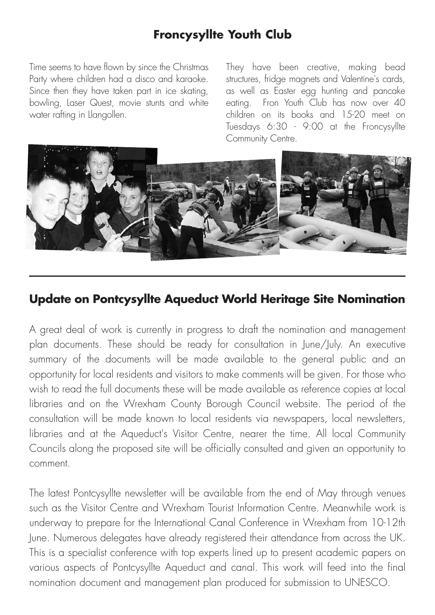## **Froncysyllte Youth Club**

Time seems to have flown by since the Christmas Party where children had a disco and karaoke. Since then they have taken part in ice skating, bowling, Laser Quest, movie stunts and white water rafting in Llangollen.

They have been creative, making bead structures, fridge magnets and Valentine's cards, as well as Easter egg hunting and pancake eating. Fron Youth Club has now over 40 children on its books and 15-20 meet on Tuesdays 6:30 - 9:00 at the Froncysyllte Community Centre.



#### **Update on Pontcysyllte Aqueduct World Heritage Site Nomination**

A great deal of work is currently in progress to draft the nomination and management plan documents. These should be ready for consultation in June/July. An executive summary of the documents will be made available to the general public and an opportunity for local residents and visitors to make comments will be given. For those who wish to read the full documents these will be made available as reference copies at local libraries and on the Wrexham County Borough Council website. The period of the consultation will be made known to local residents via newspapers, local newsletters, libraries and at the Aqueduct's Visitor Centre, nearer the time. All local Community Councils along the proposed site will be officially consulted and given an opportunity to comment.

The latest Pontcysyllte newsletter will be available from the end of May through venues such as the Visitor Centre and Wrexham Tourist Information Centre. Meanwhile work is underway to prepare for the International Canal Conference in Wrexham from 10-12th June. Numerous delegates have already registered their attendance from across the UK. This is a specialist conference with top experts lined up to present academic papers on various aspects of Pontcysyllte Aqueduct and canal. This work will feed into the final nomination document and management plan produced for submission to UNESCO.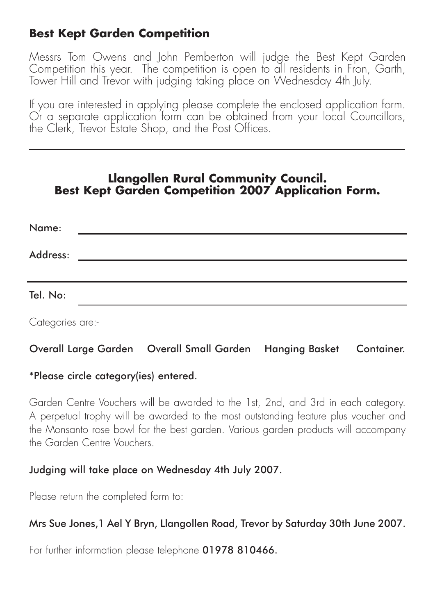## **Best Kept Garden Competition**

Messrs Tom Owens and John Pemberton will judge the Best Kept Garden Competition this year. The competition is open to all residents in Fron, Garth, Tower Hill and Trevor with judging taking place on Wednesday 4th July.

If you are interested in applying please complete the enclosed application form. Or a separate application form can be obtained from your local Councillors, the Clerk, Trevor Estate Shop, and the Post Offices.

#### **Llangollen Rural Community Council. Best Kept Garden Competition 2007 Application Form.**

| Name:    |  |
|----------|--|
| Address: |  |
|          |  |
|          |  |
| Tel. No: |  |

Categories are:-

#### Overall Large Garden Overall Small Garden Hanging Basket Container.

#### \*Please circle category(ies) entered.

Garden Centre Vouchers will be awarded to the 1st, 2nd, and 3rd in each category. A perpetual trophy will be awarded to the most outstanding feature plus voucher and the Monsanto rose bowl for the best garden. Various garden products will accompany the Garden Centre Vouchers.

#### Judging will take place on Wednesday 4th July 2007.

Please return the completed form to:

#### Mrs Sue Jones,1 Ael Y Bryn, Llangollen Road, Trevor by Saturday 30th June 2007.

For further information please telephone 01978 810466.